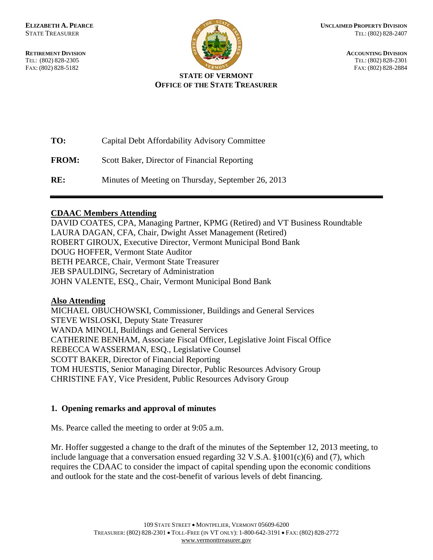

**RETIREMENT DIVISION** ACCOUNTING DIVISION TEL: (802) 828-2305 TEL: (802) 828-2301 FAX: (802) 828-5182 FAX: (802) 828-2884

#### **STATE OF VERMONT OFFICE OF THE STATE TREASURER**

| TO:          | Capital Debt Affordability Advisory Committee      |
|--------------|----------------------------------------------------|
| <b>FROM:</b> | Scott Baker, Director of Financial Reporting       |
| RE:          | Minutes of Meeting on Thursday, September 26, 2013 |

## **CDAAC Members Attending**

DAVID COATES, CPA, Managing Partner, KPMG (Retired) and VT Business Roundtable LAURA DAGAN, CFA, Chair, Dwight Asset Management (Retired) ROBERT GIROUX, Executive Director, Vermont Municipal Bond Bank DOUG HOFFER, Vermont State Auditor BETH PEARCE, Chair, Vermont State Treasurer JEB SPAULDING, Secretary of Administration JOHN VALENTE, ESQ., Chair, Vermont Municipal Bond Bank

### **Also Attending**

MICHAEL OBUCHOWSKI, Commissioner, Buildings and General Services STEVE WISLOSKI, Deputy State Treasurer WANDA MINOLI, Buildings and General Services CATHERINE BENHAM, Associate Fiscal Officer, Legislative Joint Fiscal Office REBECCA WASSERMAN, ESQ., Legislative Counsel SCOTT BAKER, Director of Financial Reporting TOM HUESTIS, Senior Managing Director, Public Resources Advisory Group CHRISTINE FAY, Vice President, Public Resources Advisory Group

# **1. Opening remarks and approval of minutes**

Ms. Pearce called the meeting to order at 9:05 a.m.

Mr. Hoffer suggested a change to the draft of the minutes of the September 12, 2013 meeting, to include language that a conversation ensued regarding  $32 \text{ V.S.A. } $1001(c)(6)$  and (7), which requires the CDAAC to consider the impact of capital spending upon the economic conditions and outlook for the state and the cost-benefit of various levels of debt financing.